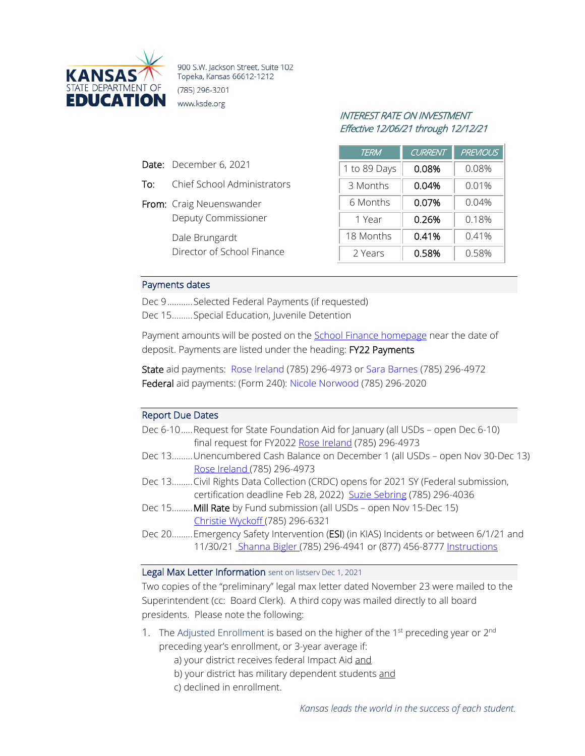

900 S.W. Jackson Street, Suite 102 Topeka, Kansas 66612-1212 (785) 296-3201 www.ksde.org

# INTEREST RATE ON INVESTMENT Effective 12/06/21 through 12/12/21

| <b>TERM</b>  | <b>CURRENT</b> | <b>PREVIOUS</b> |
|--------------|----------------|-----------------|
| 1 to 89 Days | 0.08%          | 0.08%           |
| 3 Months     | 0.04%          | 0.01%           |
| 6 Months     | 0.07%          | 0.04%           |
| 1 Year       | 0.26%          | 0.18%           |
| 18 Months    | 0.41%          | 0.41%           |
| 2 Years      | 0.58%          | 0.58%           |

### Payments dates

Date: December 6, 2021

From: Craig Neuenswander

Dale Brungardt

To: Chief School Administrators

Deputy Commissioner

Director of School Finance

Dec 9...........Selected Federal Payments (if requested) Dec 15.........Special Education, Juvenile Detention

Payment amounts will be posted on the **School Finance homepage** near the date of deposit. Payments are listed under the heading: FY22 Payments

State aid payments: [Rose Ireland](mailto:rireland@ksde.org) (785) 296-4973 or [Sara Barnes](mailto:sbarnes@ksde.org) (785) 296-4972 Federal aid payments: (Form 240): [Nicole Norwood](mailto:nnorwood@ksde.org) (785) 296-2020

# Report Due Dates

| Dec 6-10 Request for State Foundation Aid for January (all USDs – open Dec 6-10) |
|----------------------------------------------------------------------------------|
| final request for FY2022 Rose Ireland (785) 296-4973                             |

- Dec 13......... Unencumbered Cash Balance on December 1 (all USDs open Nov 30-Dec 13) [Rose Ireland \(](mailto:rireland@ksde.org)785) 296-4973
- Dec 13......... Civil Rights Data Collection (CRDC) opens for 2021 SY (Federal submission, certification deadline Feb 28, 2022) [Suzie Sebring](mailto:ssebring@ksde.org) (785) 296-4036
- Dec 15......... **Mill Rate** by Fund submission (all USDs open Nov 15-Dec 15) [Christie Wyckoff \(](mailto:cwyckoff@ksde.org)785) 296-6321
- Dec 20......... Emergency Safety Intervention (ESI) (in KIAS) Incidents or between 6/1/21 and 11/30/2[1 Shanna Bigler \(](mailto:SBigler@ksde.org)785) 296-4941 or (877) 456-8777 [Instructions](https://www.ksde.org/Agency/Division-of-Learning-Services/Special-Education-and-Title-Services/KIAS-Kansas-Integrated-Accountability-System/Emergency-Safety-Interventions-ESI)

#### Legal Max Letter Information sent on listserv Dec 1, 2021

Two copies of the "preliminary" legal max letter dated November 23 were mailed to the Superintendent (cc: Board Clerk). A third copy was mailed directly to all board presidents. Please note the following:

- 1. The Adjusted Enrollment is based on the higher of the 1<sup>st</sup> preceding year or  $2<sup>nd</sup>$ preceding year's enrollment, or 3-year average if:
	- a) your district receives federal Impact Aid and
	- b) your district has military dependent students and
	- c) declined in enrollment.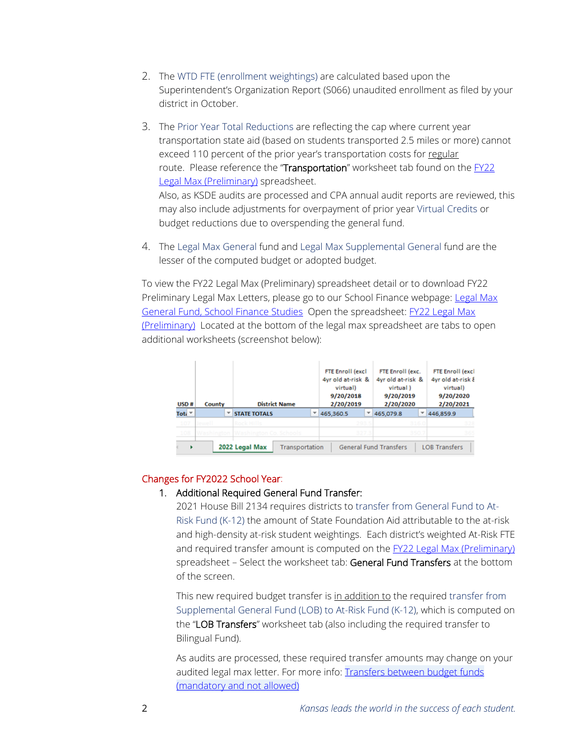- 2. The WTD FTE (enrollment weightings) are calculated based upon the Superintendent's Organization Report (S066) unaudited enrollment as filed by your district in October.
- 3. The Prior Year Total Reductions are reflecting the cap where current year transportation state aid (based on students transported 2.5 miles or more) cannot exceed 110 percent of the prior year's transportation costs for regular route. Please reference the "Transportation" worksheet tab found on the FY22 [Legal Max \(Preliminary\)](https://www.ksde.org/LinkClick.aspx?fileticket=SdXs5GCn3Aw%3d&tabid=398&portalid=0&mid=2427) spreadsheet. Also, as KSDE audits are processed and CPA annual audit reports are reviewed, this may also include adjustments for overpayment of prior year Virtual Credits or budget reductions due to overspending the general fund.
- 4. The Legal Max General fund and Legal Max Supplemental General fund are the lesser of the computed budget or adopted budget.

To view the FY22 Legal Max (Preliminary) spreadsheet detail or to download FY22 Preliminary [Legal Max](https://www.ksde.org/Agency/Fiscal-and-Administrative-Services/School-Finance/Legal-Max-General-Fund-School-Finance-Studies) Letters, please go to our School Finance webpage: Legal Max [General Fund, School Finance Studies](https://www.ksde.org/Agency/Fiscal-and-Administrative-Services/School-Finance/Legal-Max-General-Fund-School-Finance-Studies) Open the spreadsheet: [FY22 Legal Max](https://www.ksde.org/LinkClick.aspx?fileticket=SdXs5GCn3Aw%3d&tabid=398&portalid=0&mid=2427)  [\(Preliminary\)](https://www.ksde.org/LinkClick.aspx?fileticket=SdXs5GCn3Aw%3d&tabid=398&portalid=0&mid=2427) Located at the bottom of the legal max spreadsheet are tabs to open additional worksheets (screenshot below):

| USD#                                                                                           | County     | <b>District Name</b>              |  | <b>FTE Enroll (excl</b><br>4yr old at-risk &<br>virtual)<br>9/20/2018<br>2/20/2019 |   | FTE Enroll (exc.<br>4vr old at-risk &<br>virtual)<br>9/20/2019<br>2/20/2020 | <b>FTE Enroll (excl</b><br>4yr old at-risk &<br>virtual)<br>9/20/2020<br>2/20/2021 |
|------------------------------------------------------------------------------------------------|------------|-----------------------------------|--|------------------------------------------------------------------------------------|---|-----------------------------------------------------------------------------|------------------------------------------------------------------------------------|
| Toti <sup>v</sup>                                                                              |            | <b>STATE TOTALS</b>               |  | 465,360.5                                                                          | ۳ | 465,079.8                                                                   | 446,859.9                                                                          |
| 107                                                                                            | Tanzan II. | Rock Hills                        |  | 293.5                                                                              |   | 316.0                                                                       | 328                                                                                |
| 108                                                                                            |            | Washington Washington Co. Schools |  | 327.3                                                                              |   | 350.7                                                                       | 365                                                                                |
| 2022 Legal Max<br><b>General Fund Transfers</b><br><b>LOB Transfers</b><br>Transportation<br>١ |            |                                   |  |                                                                                    |   |                                                                             |                                                                                    |

## Changes for FY2022 School Year:

#### 1. Additional Required General Fund Transfer:

2021 House Bill 2134 requires districts to transfer from General Fund to At-Risk Fund (K-12) the amount of State Foundation Aid attributable to the at-risk and high-density at-risk student weightings. Each district's weighted At-Risk FTE and required transfer amount is computed on the [FY22 Legal Max \(Preliminary\)](https://www.ksde.org/LinkClick.aspx?fileticket=SdXs5GCn3Aw%3d&tabid=398&portalid=0&mid=2427) spreadsheet - Select the worksheet tab: General Fund Transfers at the bottom of the screen.

This new required budget transfer is in addition to the required transfer from Supplemental General Fund (LOB) to At-Risk Fund (K-12), which is computed on the "LOB Transfers" worksheet tab (also including the required transfer to Bilingual Fund).

As audits are processed, these required transfer amounts may change on your audited legal max letter. For more info: **Transfers between budget funds** [\(mandatory](https://www.ksde.org/LinkClick.aspx?fileticket=VWwvis2PqP0%3d&tabid=403&portalid=0&mid=971) and not allowed)